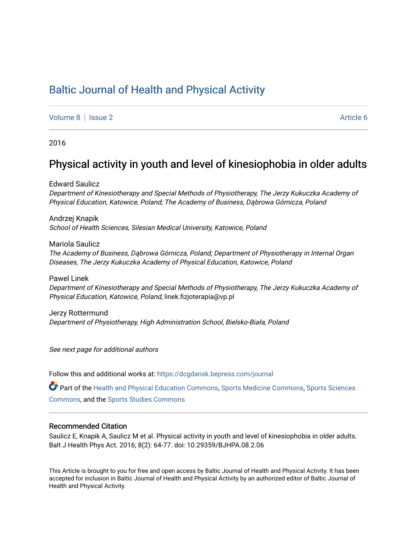# [Baltic Journal of Health and Physical Activity](https://dcgdansk.bepress.com/journal)

[Volume 8](https://dcgdansk.bepress.com/journal/vol8) | [Issue 2](https://dcgdansk.bepress.com/journal/vol8/iss2) Article 6

2016

## Physical activity in youth and level of kinesiophobia in older adults

Edward Saulicz Department of Kinesiotherapy and Special Methods of Physiotherapy, The Jerzy Kukuczka Academy of Physical Education, Katowice, Poland; The Academy of Business, Dąbrowa Górnicza, Poland

Andrzej Knapik School of Health Sciences, Silesian Medical University, Katowice, Poland

Mariola Saulicz The Academy of Business, Dąbrowa Górnicza, Poland; Department of Physiotherapy in Internal Organ Diseases, The Jerzy Kukuczka Academy of Physical Education, Katowice, Poland

Pawel Linek Department of Kinesiotherapy and Special Methods of Physiotherapy, The Jerzy Kukuczka Academy of Physical Education, Katowice, Poland, linek.fizjoterapia@vp.pl

Jerzy Rottermund Department of Physiotherapy, High Administration School, Bielsko-Biała, Poland

See next page for additional authors

Follow this and additional works at: [https://dcgdansk.bepress.com/journal](https://dcgdansk.bepress.com/journal?utm_source=dcgdansk.bepress.com%2Fjournal%2Fvol8%2Fiss2%2F6&utm_medium=PDF&utm_campaign=PDFCoverPages)

Part of the [Health and Physical Education Commons](http://network.bepress.com/hgg/discipline/1327?utm_source=dcgdansk.bepress.com%2Fjournal%2Fvol8%2Fiss2%2F6&utm_medium=PDF&utm_campaign=PDFCoverPages), [Sports Medicine Commons,](http://network.bepress.com/hgg/discipline/1331?utm_source=dcgdansk.bepress.com%2Fjournal%2Fvol8%2Fiss2%2F6&utm_medium=PDF&utm_campaign=PDFCoverPages) [Sports Sciences](http://network.bepress.com/hgg/discipline/759?utm_source=dcgdansk.bepress.com%2Fjournal%2Fvol8%2Fiss2%2F6&utm_medium=PDF&utm_campaign=PDFCoverPages) [Commons](http://network.bepress.com/hgg/discipline/759?utm_source=dcgdansk.bepress.com%2Fjournal%2Fvol8%2Fiss2%2F6&utm_medium=PDF&utm_campaign=PDFCoverPages), and the [Sports Studies Commons](http://network.bepress.com/hgg/discipline/1198?utm_source=dcgdansk.bepress.com%2Fjournal%2Fvol8%2Fiss2%2F6&utm_medium=PDF&utm_campaign=PDFCoverPages) 

### Recommended Citation

Saulicz E, Knapik A, Saulicz M et al. Physical activity in youth and level of kinesiophobia in older adults. Balt J Health Phys Act. 2016; 8(2): 64-77. doi: 10.29359/BJHPA.08.2.06

This Article is brought to you for free and open access by Baltic Journal of Health and Physical Activity. It has been accepted for inclusion in Baltic Journal of Health and Physical Activity by an authorized editor of Baltic Journal of Health and Physical Activity.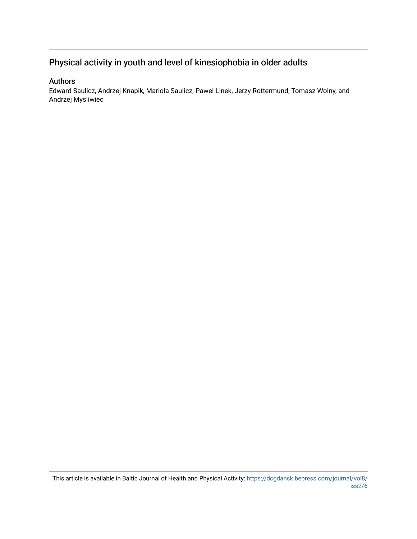# Physical activity in youth and level of kinesiophobia in older adults

### Authors

Edward Saulicz, Andrzej Knapik, Mariola Saulicz, Pawel Linek, Jerzy Rottermund, Tomasz Wolny, and Andrzej Mysliwiec

This article is available in Baltic Journal of Health and Physical Activity: [https://dcgdansk.bepress.com/journal/vol8/](https://dcgdansk.bepress.com/journal/vol8/iss2/6) [iss2/6](https://dcgdansk.bepress.com/journal/vol8/iss2/6)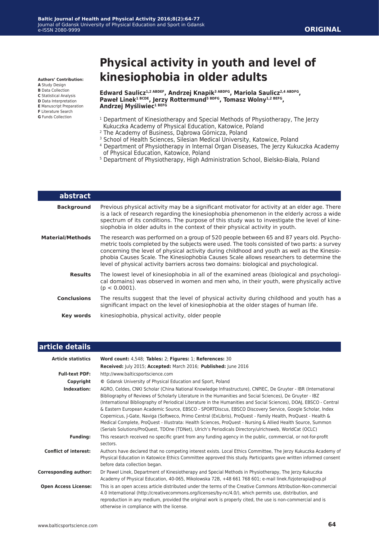**Authors' Contribution:**

- **A** Study Design **B** Data Collection
- **C** Statistical Analysis
- **D** Data Interpretation
- **E** Manuscript Preparation
- **F** Literature Search **G** Funds Collection

# **Physical activity in youth and level of kinesiophobia in older adults**

Edward Saulicz<sup>1,2 ABDEF</sup>, Andrzej Knapik<sup>3 ABDFG</sup>, Mariola Saulicz<sup>2,4 ABDFG</sup>, Paweł Linek<sup>1 BCDE</sup>, Jerzy Rottermund<sup>5 BDFG</sup>, Tomasz Wolny<sup>1,2 BEFG</sup>, **Andrzej Myśliwiec1 BEFG**

- <sup>1</sup> Department of Kinesiotherapy and Special Methods of Physiotherapy, The Jerzy Kukuczka Academy of Physical Education, Katowice, Poland
- <sup>2</sup> The Academy of Business, Dąbrowa Górnicza, Poland
- 3 School of Health Sciences, Silesian Medical University, Katowice, Poland
- 4 Department of Physiotherapy in Internal Organ Diseases, The Jerzy Kukuczka Academy of Physical Education, Katowice, Poland
- <sup>5</sup> Department of Physiotherapy, High Administration School, Bielsko-Biała, Poland

| abstract           |                                                                                                                                                                                                                                                                                                                                                                                                                                                                              |
|--------------------|------------------------------------------------------------------------------------------------------------------------------------------------------------------------------------------------------------------------------------------------------------------------------------------------------------------------------------------------------------------------------------------------------------------------------------------------------------------------------|
| <b>Background</b>  | Previous physical activity may be a significant motivator for activity at an elder age. There<br>is a lack of research regarding the kinesiophobia phenomenon in the elderly across a wide<br>spectrum of its conditions. The purpose of this study was to investigate the level of kine-<br>siophobia in older adults in the context of their physical activity in youth.                                                                                                   |
| Material/Methods   | The research was performed on a group of 520 people between 65 and 87 years old. Psycho-<br>metric tools completed by the subjects were used. The tools consisted of two parts: a survey<br>concerning the level of physical activity during childhood and youth as well as the Kinesio-<br>phobia Causes Scale. The Kinesiophobia Causes Scale allows researchers to determine the<br>level of physical activity barriers across two domains: biological and psychological. |
| <b>Results</b>     | The lowest level of kinesiophobia in all of the examined areas (biological and psychologi-<br>cal domains) was observed in women and men who, in their youth, were physically active<br>$(p < 0.0001)$ .                                                                                                                                                                                                                                                                     |
| <b>Conclusions</b> | The results suggest that the level of physical activity during childhood and youth has a<br>significant impact on the level of kinesiophobia at the older stages of human life.                                                                                                                                                                                                                                                                                              |
| Key words          | kinesiophobia, physical activity, older people                                                                                                                                                                                                                                                                                                                                                                                                                               |
|                    |                                                                                                                                                                                                                                                                                                                                                                                                                                                                              |

### **article details**

| <b>Article statistics</b>    | Word count: 4,548; Tables: 2; Figures: 1; References: 30                                                                                                                                                                                                                                                                                                                                                                                                                                                                                                                                                                                                                                                                                                                                             |
|------------------------------|------------------------------------------------------------------------------------------------------------------------------------------------------------------------------------------------------------------------------------------------------------------------------------------------------------------------------------------------------------------------------------------------------------------------------------------------------------------------------------------------------------------------------------------------------------------------------------------------------------------------------------------------------------------------------------------------------------------------------------------------------------------------------------------------------|
|                              | Received: July 2015; Accepted: March 2016; Published: June 2016                                                                                                                                                                                                                                                                                                                                                                                                                                                                                                                                                                                                                                                                                                                                      |
| <b>Full-text PDF:</b>        | http://www.balticsportscience.com                                                                                                                                                                                                                                                                                                                                                                                                                                                                                                                                                                                                                                                                                                                                                                    |
| Copyright                    | © Gdansk University of Physical Education and Sport, Poland                                                                                                                                                                                                                                                                                                                                                                                                                                                                                                                                                                                                                                                                                                                                          |
| Indexation:                  | AGRO, Celdes, CNKI Scholar (China National Knowledge Infrastructure), CNPIEC, De Gruyter - IBR (International<br>Bibliography of Reviews of Scholarly Literature in the Humanities and Social Sciences), De Gruyter - IBZ<br>(International Bibliography of Periodical Literature in the Humanities and Social Sciences), DOAJ, EBSCO - Central<br>& Eastern European Academic Source, EBSCO - SPORTDiscus, EBSCO Discovery Service, Google Scholar, Index<br>Copernicus, J-Gate, Naviga (Softweco, Primo Central (ExLibris), ProQuest - Family Health, ProQuest - Health &<br>Medical Complete, ProQuest - Illustrata: Health Sciences, ProQuest - Nursing & Allied Health Source, Summon<br>(Serials Solutions/ProQuest, TDOne (TDNet), Ulrich's Periodicals Directory/ulrichsweb, WorldCat (OCLC) |
| <b>Funding:</b>              | This research received no specific grant from any funding agency in the public, commercial, or not-for-profit<br>sectors.                                                                                                                                                                                                                                                                                                                                                                                                                                                                                                                                                                                                                                                                            |
| <b>Conflict of interest:</b> | Authors have declared that no competing interest exists. Local Ethics Committee, The Jerzy Kukuczka Academy of<br>Physical Education in Katowice Ethics Committee approved this study. Participants gave written informed consent<br>before data collection began.                                                                                                                                                                                                                                                                                                                                                                                                                                                                                                                                   |
| <b>Corresponding author:</b> | Dr Paweł Linek, Department of Kinesiotherapy and Special Methods in Physiotherapy, The Jerzy Kukuczka<br>Academy of Physical Education, 40-065, Mikolowska 72B, +48 661 768 601; e-mail linek.fizjoterapia@vp.pl                                                                                                                                                                                                                                                                                                                                                                                                                                                                                                                                                                                     |
| <b>Open Access License:</b>  | This is an open access article distributed under the terms of the Creative Commons Attribution-Non-commercial<br>4.0 International (http://creativecommons.org/licenses/by-nc/4.0/), which permits use, distribution, and<br>reproduction in any medium, provided the original work is properly cited, the use is non-commercial and is<br>otherwise in compliance with the license.                                                                                                                                                                                                                                                                                                                                                                                                                 |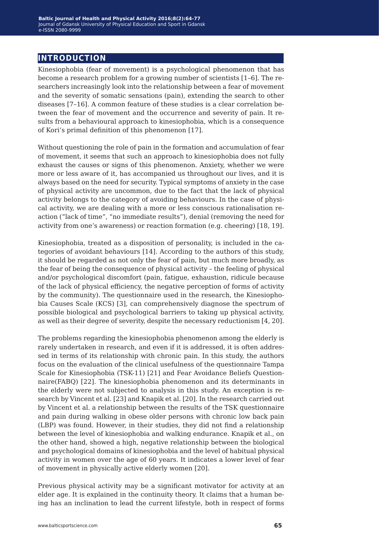### **introduction**

Kinesiophobia (fear of movement) is a psychological phenomenon that has become a research problem for a growing number of scientists [1–6]. The researchers increasingly look into the relationship between a fear of movement and the severity of somatic sensations (pain), extending the search to other diseases [7–16]. A common feature of these studies is a clear correlation between the fear of movement and the occurrence and severity of pain. It results from a behavioural approach to kinesiophobia, which is a consequence of Kori's primal definition of this phenomenon [17].

Without questioning the role of pain in the formation and accumulation of fear of movement, it seems that such an approach to kinesiophobia does not fully exhaust the causes or signs of this phenomenon. Anxiety, whether we were more or less aware of it, has accompanied us throughout our lives, and it is always based on the need for security. Typical symptoms of anxiety in the case of physical activity are uncommon, due to the fact that the lack of physical activity belongs to the category of avoiding behaviours. In the case of physical activity, we are dealing with a more or less conscious rationalisation reaction ("lack of time", "no immediate results"), denial (removing the need for activity from one's awareness) or reaction formation (e.g. cheering) [18, 19].

Kinesiophobia, treated as a disposition of personality, is included in the categories of avoidant behaviours [14]. According to the authors of this study, it should be regarded as not only the fear of pain, but much more broadly, as the fear of being the consequence of physical activity – the feeling of physical and/or psychological discomfort (pain, fatigue, exhaustion, ridicule because of the lack of physical efficiency, the negative perception of forms of activity by the community). The questionnaire used in the research, the Kinesiophobia Causes Scale (KCS) [3], can comprehensively diagnose the spectrum of possible biological and psychological barriers to taking up physical activity, as well as their degree of severity, despite the necessary reductionism [4, 20].

The problems regarding the kinesiophobia phenomenon among the elderly is rarely undertaken in research, and even if it is addressed, it is often addressed in terms of its relationship with chronic pain. In this study, the authors focus on the evaluation of the clinical usefulness of the questionnaire Tampa Scale for Kinesiophobia (TSK-11) [21] and Fear Avoidance Beliefs Questionnaire(FABQ) [22]. The kinesiophobia phenomenon and its determinants in the elderly were not subjected to analysis in this study. An exception is research by Vincent et al. [23] and Knapik et al. [20]. In the research carried out by Vincent et al. a relationship between the results of the TSK questionnaire and pain during walking in obese older persons with chronic low back pain (LBP) was found. However, in their studies, they did not find a relationship between the level of kinesiophobia and walking endurance. Knapik et al., on the other hand, showed a high, negative relationship between the biological and psychological domains of kinesiophobia and the level of habitual physical activity in women over the age of 60 years. It indicates a lower level of fear of movement in physically active elderly women [20].

Previous physical activity may be a significant motivator for activity at an elder age. It is explained in the continuity theory. It claims that a human being has an inclination to lead the current lifestyle, both in respect of forms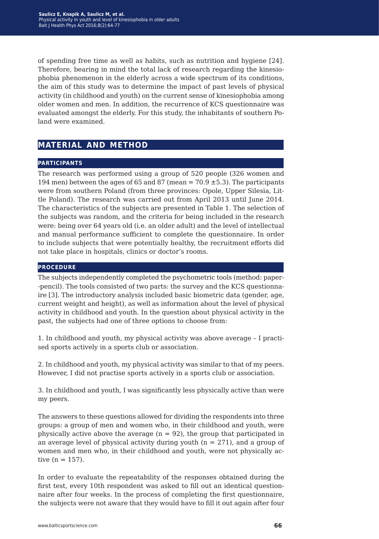of spending free time as well as habits, such as nutrition and hygiene [24]. Therefore, bearing in mind the total lack of research regarding the kinesiophobia phenomenon in the elderly across a wide spectrum of its conditions, the aim of this study was to determine the impact of past levels of physical activity (in childhood and youth) on the current sense of kinesiophobia among older women and men. In addition, the recurrence of KCS questionnaire was evaluated amongst the elderly. For this study, the inhabitants of southern Poland were examined.

### **material and method**

#### **participants**

The research was performed using a group of 520 people (326 women and 194 men) between the ages of 65 and 87 (mean =  $70.9 \pm 5.3$ ). The participants were from southern Poland (from three provinces: Opole, Upper Silesia, Little Poland). The research was carried out from April 2013 until June 2014. The characteristics of the subjects are presented in Table 1. The selection of the subjects was random, and the criteria for being included in the research were: being over 64 years old (i.e. an older adult) and the level of intellectual and manual performance sufficient to complete the questionnaire. In order to include subjects that were potentially healthy, the recruitment efforts did not take place in hospitals, clinics or doctor's rooms.

#### **procedure**

The subjects independently completed the psychometric tools (method: paper- -pencil). The tools consisted of two parts: the survey and the KCS questionnaire [3]. The introductory analysis included basic biometric data (gender, age, current weight and height), as well as information about the level of physical activity in childhood and youth. In the question about physical activity in the past, the subjects had one of three options to choose from:

1. In childhood and youth, my physical activity was above average – I practised sports actively in a sports club or association.

2. In childhood and youth, my physical activity was similar to that of my peers. However, I did not practise sports actively in a sports club or association.

3. In childhood and youth, I was significantly less physically active than were my peers.

The answers to these questions allowed for dividing the respondents into three groups: a group of men and women who, in their childhood and youth, were physically active above the average  $(n = 92)$ , the group that participated in an average level of physical activity during youth ( $n = 271$ ), and a group of women and men who, in their childhood and youth, were not physically active  $(n = 157)$ .

In order to evaluate the repeatability of the responses obtained during the first test, every 10th respondent was asked to fill out an identical questionnaire after four weeks. In the process of completing the first questionnaire, the subjects were not aware that they would have to fill it out again after four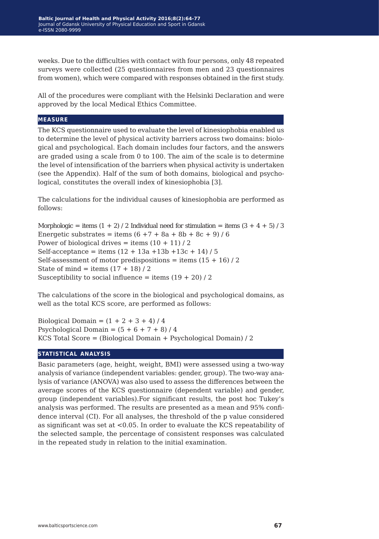weeks. Due to the difficulties with contact with four persons, only 48 repeated surveys were collected (25 questionnaires from men and 23 questionnaires from women), which were compared with responses obtained in the first study.

All of the procedures were compliant with the Helsinki Declaration and were approved by the local Medical Ethics Committee.

### **measure**

The KCS questionnaire used to evaluate the level of kinesiophobia enabled us to determine the level of physical activity barriers across two domains: biological and psychological. Each domain includes four factors, and the answers are graded using a scale from 0 to 100. The aim of the scale is to determine the level of intensification of the barriers when physical activity is undertaken (see the Appendix). Half of the sum of both domains, biological and psychological, constitutes the overall index of kinesiophobia [3].

The calculations for the individual causes of kinesiophobia are performed as follows:

Morphologic = items  $(1 + 2)$  / 2 Individual need for stimulation = items  $(3 + 4 + 5)$  / 3 Energetic substrates = items  $(6 + 7 + 8a + 8b + 8c + 9)/6$ Power of biological drives = items  $(10 + 11)/2$ Self-acceptance = items  $(12 + 13a + 13b + 13c + 14)/5$ Self-assessment of motor predispositions = items  $(15 + 16) / 2$ State of mind = items  $(17 + 18) / 2$ Susceptibility to social influence = items  $(19 + 20) / 2$ 

The calculations of the score in the biological and psychological domains, as well as the total KCS score, are performed as follows:

Biological Domain =  $(1 + 2 + 3 + 4)/4$ Psychological Domain =  $(5 + 6 + 7 + 8)/4$ KCS Total Score = (Biological Domain + Psychological Domain) / 2

#### **statistical analysis**

Basic parameters (age, height, weight, BMI) were assessed using a two-way analysis of variance (independent variables: gender, group). The two-way analysis of variance (ANOVA) was also used to assess the differences between the average scores of the KCS questionnaire (dependent variable) and gender, group (independent variables).For significant results, the post hoc Tukey's analysis was performed. The results are presented as a mean and 95% confidence interval (CI). For all analyses, the threshold of the p value considered as significant was set at <0.05. In order to evaluate the KCS repeatability of the selected sample, the percentage of consistent responses was calculated in the repeated study in relation to the initial examination.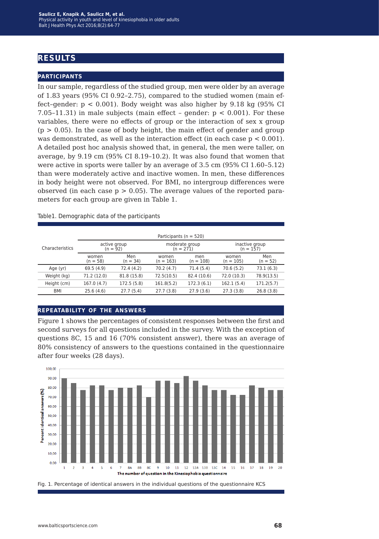### **results**

#### **participants**

In our sample, regardless of the studied group, men were older by an average of 1.83 years (95% CI 0.92–2.75), compared to the studied women (main effect–gender:  $p < 0.001$ ). Body weight was also higher by 9.18 kg (95% CI) 7.05–11.31) in male subjects (main effect – gender:  $p < 0.001$ ). For these variables, there were no effects of group or the interaction of sex x group  $(p > 0.05)$ . In the case of body height, the main effect of gender and group was demonstrated, as well as the interaction effect (in each case  $p < 0.001$ ). A detailed post hoc analysis showed that, in general, the men were taller, on average, by 9.19 cm (95% CI 8.19–10.2). It was also found that women that were active in sports were taller by an average of 3.5 cm (95% CI 1.60–5.12) than were moderately active and inactive women. In men, these differences in body height were not observed. For BMI, no intergroup differences were observed (in each case  $p > 0.05$ ). The average values of the reported parameters for each group are given in Table 1.

|                 |                     |                            | Participants ( $n = 520$ ) |                               |                               |                   |  |
|-----------------|---------------------|----------------------------|----------------------------|-------------------------------|-------------------------------|-------------------|--|
| Characteristics |                     | active group<br>$(n = 92)$ |                            | moderate group<br>$(n = 271)$ | inactive group<br>$(n = 157)$ |                   |  |
|                 | women<br>$(n = 58)$ | Men<br>$(n = 34)$          | women<br>$(n = 163)$       | men<br>$(n = 108)$            | women<br>$(n = 105)$          | Men<br>$(n = 52)$ |  |
| Age (yr)        | 69.5(4.9)           | 72.4 (4.2)                 | 70.2(4.7)                  | 71.4 (5.4)                    | 70.6(5.2)                     | 73.1(6.3)         |  |
| Weight (kg)     | 71.2 (12.0)         | 81.8 (15.8)                | 72.5(10.5)                 | 82.4 (10.6)                   | 72.0 (10.3)                   | 78.9(13.5)        |  |
| Height (cm)     | 167.0 (4.7)         | 172.5 (5.8)                | 161.8(5.2)                 | 172.3(6.1)                    | 162.1(5.4)                    | 171.2(5.7)        |  |
| BMI             | 25.6(4.6)           | 27.7(5.4)                  | 27.7(3.8)                  | 27.9(3.6)                     | 27.3(3.8)                     | 26.8(3.8)         |  |

Table1. Demographic data of the participants

### **repeatability of the answers**

Figure 1 shows the percentages of consistent responses between the first and second surveys for all questions included in the survey. With the exception of questions 8C, 15 and 16 (70% consistent answer), there was an average of 80% consistency of answers to the questions contained in the questionnaire after four weeks (28 days).



Fig. 1. Percentage of identical answers in the individual questions of the questionnaire KCS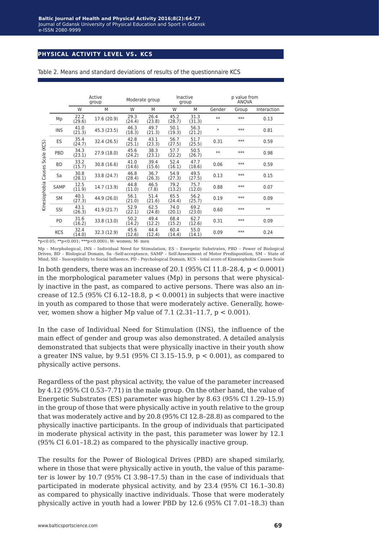### **physical activity level vs. kcs**

|               |             |                | Active<br>group | Moderate group |                | Inactive<br>group |                | p value from<br><b>ANOVA</b> |       |             |  |
|---------------|-------------|----------------|-----------------|----------------|----------------|-------------------|----------------|------------------------------|-------|-------------|--|
|               |             | W              | M               | W              | M              | W                 | M              | Gender                       | Group | Interaction |  |
|               | Mp          | 22.2<br>(29.6) | 17.6 (20.9)     | 29.3<br>(24.4) | 26.4<br>(23.8) | 45.2<br>(28.7)    | 31.3<br>(31.3) | $**$                         | $***$ | 0.13        |  |
|               | <b>INS</b>  | 41.0<br>(21.3) | 45.3 (23.5)     | 46.3<br>(18.3) | 49.7<br>(21.3) | 50.1<br>(19.3)    | 56.3<br>(21.2) | $\ast$                       | $***$ | 0.81        |  |
|               | ES          | 35.4<br>(24.7) | 32.4 (26.5)     | 42.8<br>(25.1) | 43.1<br>(23.3) | 56.7<br>(27.5)    | 51.7<br>(25.5) | 0.31                         | $***$ | 0.59        |  |
| Scale (KCS)   | PBD         | 34.3<br>(23.1) | 27.9 (18.0)     | 45.6<br>(24.2) | 38.3<br>(23.1) | 57.7<br>(22.2)    | 50.5<br>(26.7) | $**$                         | $***$ | 0.98        |  |
|               | <b>BD</b>   | 33.2<br>(15.7) | 30.8(16.6)      | 41.0<br>(14.6) | 39.4<br>(15.6) | 52.4<br>(16.1)    | 47.7<br>(18.6) | 0.06                         | $***$ | 0.59        |  |
| Causes!       | Sa          | 30.8<br>(28.1) | 33.8 (24.7)     | 46.8<br>(28.4) | 36.7<br>(26.3) | 54.9<br>(27.3)    | 49.5<br>(27.5) | 0.13                         | $***$ | 0.15        |  |
|               | <b>SAMP</b> | 12.5<br>(11.9) | 14.7 (13.9)     | 44.8<br>(11.0) | 46.5<br>(7.8)  | 79.2<br>(13.2)    | 75.7<br>(12.0) | 0.88                         | $***$ | 0.07        |  |
| Kinesiophobia | SM          | 40.1<br>(27.3) | 44.9 (26.0)     | 56.1<br>(21.0) | 51.4<br>(21.6) | 65.5<br>(24.4)    | 56.2<br>(25.7) | 0.19                         | $***$ | 0.09        |  |
|               | SSI         | 43.1<br>(26.3) | 41.9 (21.7)     | 52.9<br>(22.1) | 62.5<br>(24.8) | 74.0<br>(20.1)    | 69.2<br>(23.0) | 0.60                         | $***$ | $**$        |  |
|               | PD          | 31.6<br>(16.2) | 33.8 (13.0)     | 50.2<br>(14.2) | 49.4<br>(12.2) | 68.4<br>(15.2)    | 62.7<br>(12.6) | 0.31                         | $***$ | 0.09        |  |
|               | <b>KCS</b>  | 32.4<br>(14.0) | 32.3 (12.9)     | 45.6<br>(12.6) | 44.4<br>(12.4) | 60.4<br>(14.4)    | 55.0<br>(14.1) | 0.09                         | ***   | 0.24        |  |

Table 2. Means and standard deviations of results of the questionnaire KCS

 $*_{p<0.05}$ ; \*\*p<0.001; \*\*\*p<0.0001; W- women; M- men

Mp – Morphological, INS – Individual Need for Stimulation, ES – Energetic Substrates, PBD – Power of Biological Drives, BD – Biological Domain, Sa –Self-acceptance, SAMP – Self-Assessment of Motor Predisposition, SM – State of Mind, SSI – Susceptibility to Social Influence, PD – Psychological Domain, KCS – total score of Kinesiophobia Causes Scale

In both genders, there was an increase of  $20.1$  (95% CI 11.8–28.4, p < 0.0001) in the morphological parameter values (Mp) in persons that were physically inactive in the past, as compared to active persons. There was also an increase of 12.5 (95% CI 6.12-18.8,  $p < 0.0001$ ) in subjects that were inactive in youth as compared to those that were moderately active. Generally, however, women show a higher Mp value of 7.1  $(2.31-11.7, p < 0.001)$ .

In the case of Individual Need for Stimulation (INS), the influence of the main effect of gender and group was also demonstrated. A detailed analysis demonstrated that subjects that were physically inactive in their youth show a greater INS value, by  $9.51$  (95% CI 3.15-15.9,  $p < 0.001$ ), as compared to physically active persons.

Regardless of the past physical activity, the value of the parameter increased by 4.12 (95% CI 0.53–7.71) in the male group. On the other hand, the value of Energetic Substrates (ES) parameter was higher by 8.63 (95% CI 1.29–15.9) in the group of those that were physically active in youth relative to the group that was moderately active and by 20.8 (95% CI 12.8–28.8) as compared to the physically inactive participants. In the group of individuals that participated in moderate physical activity in the past, this parameter was lower by 12.1 (95% CI 6.01–18.2) as compared to the physically inactive group.

The results for the Power of Biological Drives (PBD) are shaped similarly, where in those that were physically active in youth, the value of this parameter is lower by 10.7 (95% CI 3.98–17.5) than in the case of individuals that participated in moderate physical activity, and by 23.4 (95% CI 16.1–30.8) as compared to physically inactive individuals. Those that were moderately physically active in youth had a lower PBD by 12.6 (95% CI 7.01–18.3) than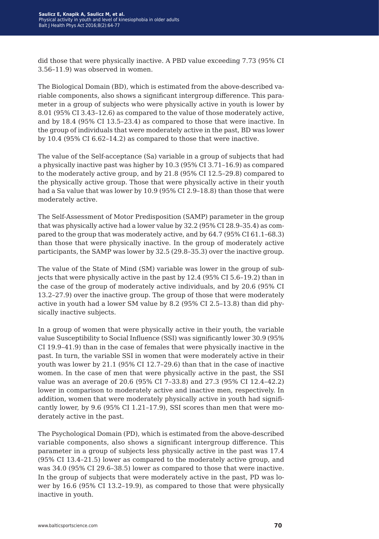did those that were physically inactive. A PBD value exceeding 7.73 (95% CI 3.56–11.9) was observed in women.

The Biological Domain (BD), which is estimated from the above-described variable components, also shows a significant intergroup difference. This parameter in a group of subjects who were physically active in youth is lower by 8.01 (95% CI 3.43–12.6) as compared to the value of those moderately active, and by 18.4 (95% CI 13.5–23.4) as compared to those that were inactive. In the group of individuals that were moderately active in the past, BD was lower by 10.4 (95% CI 6.62–14.2) as compared to those that were inactive.

The value of the Self-acceptance (Sa) variable in a group of subjects that had a physically inactive past was higher by 10.3 (95% CI 3.71–16.9) as compared to the moderately active group, and by 21.8 (95% CI 12.5–29.8) compared to the physically active group. Those that were physically active in their youth had a Sa value that was lower by 10.9 (95% CI 2.9–18.8) than those that were moderately active.

The Self-Assessment of Motor Predisposition (SAMP) parameter in the group that was physically active had a lower value by 32.2 (95% CI 28.9–35.4) as compared to the group that was moderately active, and by 64.7 (95% CI 61.1–68.3) than those that were physically inactive. In the group of moderately active participants, the SAMP was lower by 32.5 (29.8–35.3) over the inactive group.

The value of the State of Mind (SM) variable was lower in the group of subjects that were physically active in the past by 12.4 (95% CI 5.6–19.2) than in the case of the group of moderately active individuals, and by 20.6 (95% CI 13.2–27.9) over the inactive group. The group of those that were moderately active in youth had a lower SM value by 8.2 (95% CI 2.5–13.8) than did physically inactive subjects.

In a group of women that were physically active in their youth, the variable value Susceptibility to Social Influence (SSI) was significantly lower 30.9 (95% CI 19.9–41.9) than in the case of females that were physically inactive in the past. In turn, the variable SSI in women that were moderately active in their youth was lower by 21.1 (95% CI 12.7–29.6) than that in the case of inactive women. In the case of men that were physically active in the past, the SSI value was an average of 20.6 (95% CI 7–33.8) and 27.3 (95% CI 12.4–42.2) lower in comparison to moderately active and inactive men, respectively. In addition, women that were moderately physically active in youth had significantly lower, by 9.6 (95% CI 1.21–17.9), SSI scores than men that were moderately active in the past.

The Psychological Domain (PD), which is estimated from the above-described variable components, also shows a significant intergroup difference. This parameter in a group of subjects less physically active in the past was 17.4 (95% CI 13.4–21.5) lower as compared to the moderately active group, and was 34.0 (95% CI 29.6–38.5) lower as compared to those that were inactive. In the group of subjects that were moderately active in the past, PD was lower by 16.6 (95% CI 13.2–19.9), as compared to those that were physically inactive in youth.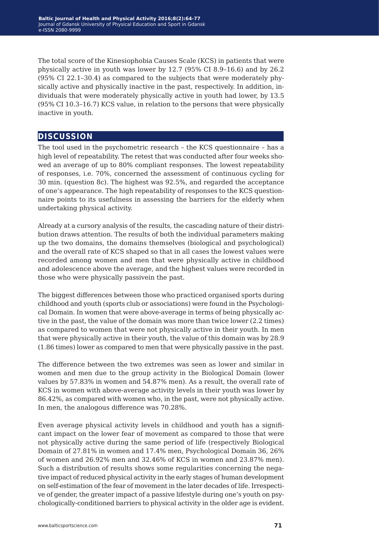The total score of the Kinesiophobia Causes Scale (KCS) in patients that were physically active in youth was lower by 12.7 (95% CI 8.9–16.6) and by 26.2 (95% CI 22.1–30.4) as compared to the subjects that were moderately physically active and physically inactive in the past, respectively. In addition, individuals that were moderately physically active in youth had lower, by 13.5 (95% CI 10.3–16.7) KCS value, in relation to the persons that were physically inactive in youth.

### **discussion**

The tool used in the psychometric research – the KCS questionnaire – has a high level of repeatability. The retest that was conducted after four weeks showed an average of up to 80% compliant responses. The lowest repeatability of responses, i.e. 70%, concerned the assessment of continuous cycling for 30 min. (question 8c). The highest was 92.5%, and regarded the acceptance of one's appearance. The high repeatability of responses to the KCS questionnaire points to its usefulness in assessing the barriers for the elderly when undertaking physical activity.

Already at a cursory analysis of the results, the cascading nature of their distribution draws attention. The results of both the individual parameters making up the two domains, the domains themselves (biological and psychological) and the overall rate of KCS shaped so that in all cases the lowest values were recorded among women and men that were physically active in childhood and adolescence above the average, and the highest values were recorded in those who were physically passivein the past.

The biggest differences between those who practiced organised sports during childhood and youth (sports club or associations) were found in the Psychological Domain. In women that were above-average in terms of being physically active in the past, the value of the domain was more than twice lower (2.2 times) as compared to women that were not physically active in their youth. In men that were physically active in their youth, the value of this domain was by 28.9 (1.86 times) lower as compared to men that were physically passive in the past.

The difference between the two extremes was seen as lower and similar in women and men due to the group activity in the Biological Domain (lower values by 57.83% in women and 54.87% men). As a result, the overall rate of KCS in women with above-average activity levels in their youth was lower by 86.42%, as compared with women who, in the past, were not physically active. In men, the analogous difference was 70.28%.

Even average physical activity levels in childhood and youth has a significant impact on the lower fear of movement as compared to those that were not physically active during the same period of life (respectively Biological Domain of 27.81% in women and 17.4% men, Psychological Domain 36, 26% of women and 26.92% men and 32.46% of KCS in women and 23.87% men). Such a distribution of results shows some regularities concerning the negative impact of reduced physical activity in the early stages of human development on self-estimation of the fear of movement in the later decades of life. Irrespective of gender, the greater impact of a passive lifestyle during one's youth on psychologically-conditioned barriers to physical activity in the older age is evident.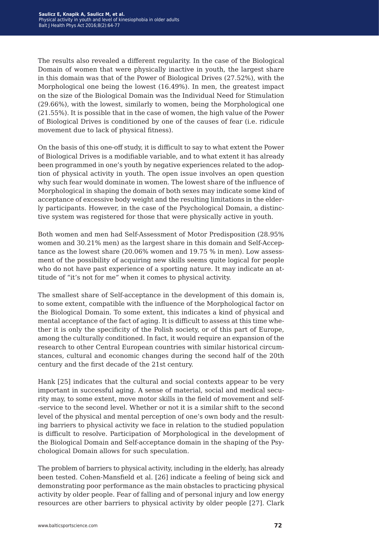The results also revealed a different regularity. In the case of the Biological Domain of women that were physically inactive in youth, the largest share in this domain was that of the Power of Biological Drives (27.52%), with the Morphological one being the lowest (16.49%). In men, the greatest impact on the size of the Biological Domain was the Individual Need for Stimulation (29.66%), with the lowest, similarly to women, being the Morphological one (21.55%). It is possible that in the case of women, the high value of the Power of Biological Drives is conditioned by one of the causes of fear (i.e. ridicule movement due to lack of physical fitness).

On the basis of this one-off study, it is difficult to say to what extent the Power of Biological Drives is a modifiable variable, and to what extent it has already been programmed in one's youth by negative experiences related to the adoption of physical activity in youth. The open issue involves an open question why such fear would dominate in women. The lowest share of the influence of Morphological in shaping the domain of both sexes may indicate some kind of acceptance of excessive body weight and the resulting limitations in the elderly participants. However, in the case of the Psychological Domain, a distinctive system was registered for those that were physically active in youth.

Both women and men had Self-Assessment of Motor Predisposition (28.95% women and 30.21% men) as the largest share in this domain and Self-Acceptance as the lowest share (20.06% women and 19.75 % in men). Low assessment of the possibility of acquiring new skills seems quite logical for people who do not have past experience of a sporting nature. It may indicate an attitude of "it's not for me" when it comes to physical activity.

The smallest share of Self-acceptance in the development of this domain is, to some extent, compatible with the influence of the Morphological factor on the Biological Domain. To some extent, this indicates a kind of physical and mental acceptance of the fact of aging. It is difficult to assess at this time whether it is only the specificity of the Polish society, or of this part of Europe, among the culturally conditioned. In fact, it would require an expansion of the research to other Central European countries with similar historical circumstances, cultural and economic changes during the second half of the 20th century and the first decade of the 21st century.

Hank [25] indicates that the cultural and social contexts appear to be very important in successful aging. A sense of material, social and medical security may, to some extent, move motor skills in the field of movement and self- -service to the second level. Whether or not it is a similar shift to the second level of the physical and mental perception of one's own body and the resulting barriers to physical activity we face in relation to the studied population is difficult to resolve. Participation of Morphological in the development of the Biological Domain and Self-acceptance domain in the shaping of the Psychological Domain allows for such speculation.

The problem of barriers to physical activity, including in the elderly, has already been tested. Cohen-Mansfield et al. [26] indicate a feeling of being sick and demonstrating poor performance as the main obstacles to practicing physical activity by older people. Fear of falling and of personal injury and low energy resources are other barriers to physical activity by older people [27]. Clark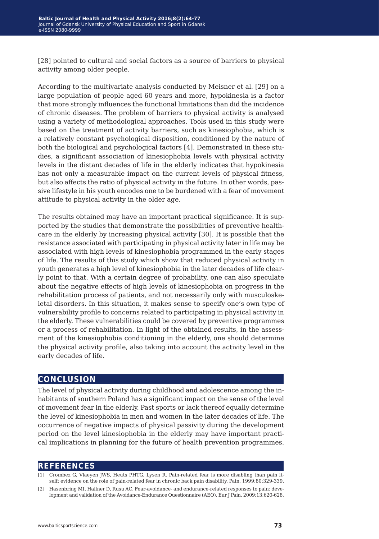[28] pointed to cultural and social factors as a source of barriers to physical activity among older people.

According to the multivariate analysis conducted by Meisner et al. [29] on a large population of people aged 60 years and more, hypokinesia is a factor that more strongly influences the functional limitations than did the incidence of chronic diseases. The problem of barriers to physical activity is analysed using a variety of methodological approaches. Tools used in this study were based on the treatment of activity barriers, such as kinesiophobia, which is a relatively constant psychological disposition, conditioned by the nature of both the biological and psychological factors [4]. Demonstrated in these studies, a significant association of kinesiophobia levels with physical activity levels in the distant decades of life in the elderly indicates that hypokinesia has not only a measurable impact on the current levels of physical fitness, but also affects the ratio of physical activity in the future. In other words, passive lifestyle in his youth encodes one to be burdened with a fear of movement attitude to physical activity in the older age.

The results obtained may have an important practical significance. It is supported by the studies that demonstrate the possibilities of preventive healthcare in the elderly by increasing physical activity [30]. It is possible that the resistance associated with participating in physical activity later in life may be associated with high levels of kinesiophobia programmed in the early stages of life. The results of this study which show that reduced physical activity in youth generates a high level of kinesiophobia in the later decades of life clearly point to that. With a certain degree of probability, one can also speculate about the negative effects of high levels of kinesiophobia on progress in the rehabilitation process of patients, and not necessarily only with musculoskeletal disorders. In this situation, it makes sense to specify one's own type of vulnerability profile to concerns related to participating in physical activity in the elderly. These vulnerabilities could be covered by preventive programmes or a process of rehabilitation. In light of the obtained results, in the assessment of the kinesiophobia conditioning in the elderly, one should determine the physical activity profile, also taking into account the activity level in the early decades of life.

### **conclusion**

The level of physical activity during childhood and adolescence among the inhabitants of southern Poland has a significant impact on the sense of the level of movement fear in the elderly. Past sports or lack thereof equally determine the level of kinesiophobia in men and women in the later decades of life. The occurrence of negative impacts of physical passivity during the development period on the level kinesiophobia in the elderly may have important practical implications in planning for the future of health prevention programmes.

### **references**

- [1] Crombez G, Vlaeyen JWS, Heuts PHTG, Lysen R. Pain-related fear is more disabling than pain itself: evidence on the role of pain-related fear in chronic back pain disability. Pain. 1999;80:329-339.
- [2] Hasenbring MI, Hallner D, Rusu AC. Fear-avoidance- and endurance-related responses to pain: development and validation of the Avoidance-Endurance Questionnaire (AEQ). Eur J Pain. 2009;13:620-628.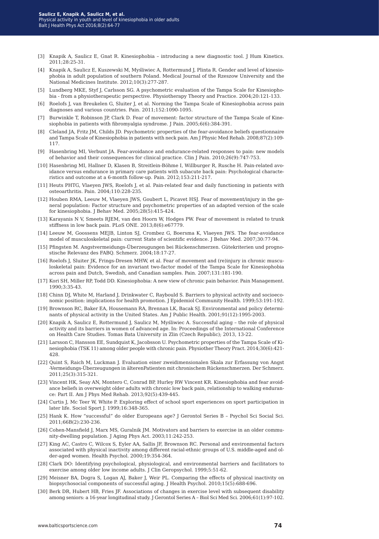- [3] Knapik A, Saulicz E, Gnat R. Kinesiophobia introducing a new diagnostic tool. J Hum Kinetics. 2011;28:25-31.
- [4] Knapik A, Saulicz E, Kuszewski M, Myśliwiec A, Rottermund J, Plinta R. Gender and level of kinesiophobia in adult population of southern Poland. Medical Journal of the Rzeszow University and the National Medicines Institute. 2012;10(3):277-287.
- [5] Lundberg MKE, Styf J, Carlsson SG. A psychometric evaluation of the Tampa Scale for Kinesiophobia - from a physiotherapeutic perspective. Physiotherapy Theory and Practice. 2004;20:121-133.
- [6] Roelofs J, van Breukelen G, Sluiter J, et al. Norming the Tampa Scale of Kinesiophobia across pain diagnoses and various countries. Pain. 2011;152:1090-1095.
- [7] Burwinkle T, Robinson JP, Clark D. Fear of movement: factor structure of the Tampa Scale of Kinesiophobia in patients with fibromyalgia syndrome. J Pain. 2005;6(6):384-391.
- [8] Cleland JA, Fritz JM, Childs JD. Psychometric properties of the fear-avoidance beliefs questionnaire and Tampa Scale of Kinesiophobia in patients with neck pain. Am J Physic Med Rehab. 2008;87(2):109- 117.
- [9] Hasenbring MI, Verbunt JA. Fear-avoidance and endurance-related responses to pain: new models of behavior and their consequences for clinical practice. Clin J Pain. 2010;26(9):747-753.
- [10] Hasenbring MI, Hallner D, Klasen B, Streitlein-Böhme I, Willburger R, Rusche H. Pain-related avoidance versus endurance in primary care patients with subacute back pain: Psychological characteristics and outcome at a 6-month follow-up. Pain. 2012;153:211-217.
- [11] Heuts PHTG, Vlaeyen JWS, Roelofs J, et al. Pain-related fear and daily functioning in patients with osteoarthritis. Pain. 2004;110:228-235.
- [12] Houben RMA, Leeuw M, Vlaeyen JWS, Goubert L, Picavet HSJ. Fear of movement/injury in the general population: Factor structure and psychometric properties of an adapted version of the scale for kinesiophobia. J Behav Med. 2005;28(5):415-424.
- [13] Karayanis N V, Smeets RJEM, van den Hoorn W, Hodges PW. Fear of movement is related to trunk stiffness in low back pain. PLoS ONE. 2013;8(6):e67779.
- [14] Leeuw M, Goossens MEJB, Linton SJ, Crombez G, Boersma K, Vlaeyen JWS. The fear-avoidance model of musculoskeletal pain: current State of scientific evidence. J Behav Med. 2007;30:77-94.
- [15] Pfingsten M. Angstvermeidungs-Überzeugungen bei Rückenschmerzen. Gütekriterien und prognostische Relevanz des FABQ. Schmerz. 2004;18:17-27.
- [16] Roelofs J, Sluiter JK, Frings-Dresen MHW, et al. Fear of movement and (re)injury in chronic musculoskeletal pain: Evidence for an invariant two-factor model of the Tampa Scale for Kinesiophobia across pain and Dutch, Swedish, and Canadian samples. Pain. 2007;131:181-190.
- [17] Kori SH, Miller RP, Todd DD. Kinesiophobia: A new view of chronic pain behavior. Pain Management. 1990;3:35-43.
- [18] Chinn DJ, White M, Harland J, Drinkwater C, Raybould S. Barriers to physical activity and socioeconomic position: implications for health promotion. J Epidemiol Community Health. 1999;53:191-192.
- [19] Brownson RC, Baker EA, Housemann RA, Brennan LK, Bacak SJ. Environmental and policy determinants of physical activity in the United States. Am J Public Health. 2001;91(12):1995-2003.
- [20] Knapik A, Saulicz E, Rottermund J, Saulicz M, Myśliwiec A. Successful aging the role of physical activity and its barriers in women of advanced age. In: Proceedings of the International Conference on Health Care Studies. Tomas Bata University in Zlin (Czech Republic); 2013, 13-22.
- [21] Larsson C, Hansson EE, Sundquist K, Jacobsson U. Psychometric properties of the Tampa Scale of Kinesiophobia (TSK 11) among older people with chronic pain. Physiother Theory Pract. 2014;30(6):421- 428.
- [22] Quint S, Raich M, Luckman J. Evaluation einer zweidimensionalen Skala zur Erfassung von Angst -Vermeidungs-Überzeugungen in älterenPatienten mit chronischem Rückenschmerzen. Der Schmerz. 2011;25(3):315-321.
- [23] Vincent HK, Seay AN, Montero C, Conrad BP, Hurley RW Vincent KR. Kinesiophobia and fear avoidance beliefs in overweight older adults with chronic low back pain, relationship to walking endurance: Part II. Am J Phys Med Rehab. 2013;92(5):439-445.
- [24] Curtis J, Mc Teer W, White P. Exploring effect of school sport experiences on sport participation in later life. Sociol Sport J. 1999;16:348-365.
- [25] Hank K. How "successful" do older Europeans age? J Gerontol Series B Psychol Sci Social Sci. 2011;66B(2):230-236.
- [26] Cohen-Mansfield J, Marx MS, Guralnik JM. Motivators and barriers to exercise in an older community-dwelling population. J Aging Phys Act. 2003;11:242-253.
- [27] King AC, Castro C, Wilcox S, Eyler AA, Sallis JF, Brownson RC. Personal and environmental factors associated with physical inactivity among different racial-ethnic groups of U.S. middle-aged and older-aged women. Health Psychol. 2000;19:354-364.
- [28] Clark DO: Identifying psychological, physiological, and environmental barriers and facilitators to exercise among older low income adults. J Clin Geropsychol. 1999;5:51-62.
- [29] Meisner BA, Dogra S, Logan AJ, Baker J, Weir PL. Comparing the effects of physical inactivity on biopsychosocial components of successful aging. J Health Psychol. 2010;15(5):688-696.
- [30] Berk DR, Hubert HB, Fries JF. Associations of changes in exercise level with subsequent disability among seniors: a 16-year longitudinal study. J Gerontol Series A – Biol Sci Med Sci. 2006;61(1):97-102.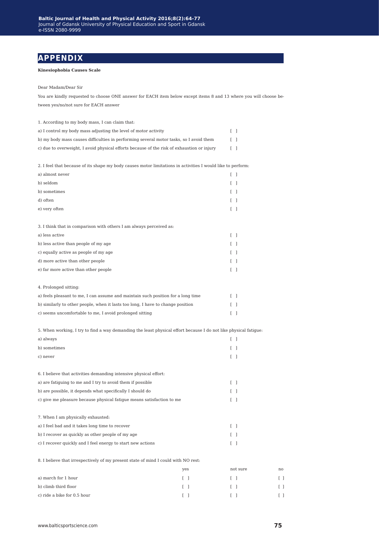### **appendix**

#### **Kinesiophobia Causes Scale**

#### Dear Madam/Dear Sir

You are kindly requested to choose ONE answer for EACH item below except items 8 and 13 where you will choose between yes/no/not sure for EACH answer

| 1. According to my body mass, I can claim that:                                            |        |
|--------------------------------------------------------------------------------------------|--------|
| a) I control my body mass adjusting the level of motor activity                            | ΓI     |
| b) my body mass causes difficulties in performing several motor tasks, so I avoid them     | $\Box$ |
| c) due to overweight, I avoid physical efforts because of the risk of exhaustion or injury | ΓI     |

2. I feel that because of its shape my body causes motor limitations in activities I would like to perform:

| a) almost never | $\begin{bmatrix} 1 \end{bmatrix}$ |
|-----------------|-----------------------------------|
| b) seldom       | $\begin{bmatrix} 1 \end{bmatrix}$ |
| b) sometimes    | $\begin{bmatrix} 1 \end{bmatrix}$ |
| d) often        | $\begin{bmatrix} 1 \end{bmatrix}$ |
| e) very often   |                                   |

3. I think that in comparison with others I am always perceived as:

| a) less active                        |    |  |
|---------------------------------------|----|--|
| b) less active than people of my age  | ΓI |  |
| c) equally active as people of my age | ΓI |  |
| d) more active than other people      | ΓI |  |
| e) far more active than other people  | ΓI |  |
|                                       |    |  |
| 4. Prolonged sitting:                 |    |  |

| a) feels pleasant to me, I can assume and maintain such position for a long time |        |
|----------------------------------------------------------------------------------|--------|
| b) similarly to other people, when it lasts too long, I have to change position  | $\Box$ |
| c) seems uncomfortable to me. I avoid prolonged sitting                          |        |

5. When working, I try to find a way demanding the least physical effort because I do not like physical fatigue:

| a) always                                                             | $\Box$                          |  |
|-----------------------------------------------------------------------|---------------------------------|--|
| b) sometimes                                                          | $\lceil$ $\rceil$               |  |
| c) never                                                              | Γl                              |  |
|                                                                       |                                 |  |
| 6. I believe that activities demanding intensive physical effort:     |                                 |  |
| a) are fatiguing to me and I try to avoid them if possible            | $\begin{bmatrix} \end{bmatrix}$ |  |
| b) are possible, it depends what specifically I should do             | $\lceil$ $\rceil$               |  |
| c) give me pleasure because physical fatigue means satisfaction to me | $\lceil$ $\rceil$               |  |
|                                                                       |                                 |  |
| 7. When I am physically exhausted:                                    |                                 |  |
| a) I feel bad and it takes long time to recover                       | Γl                              |  |
| b) I recover as quickly as other people of my age                     |                                 |  |

c) I recover quickly and I feel energy to start new actions  $[\quad]$ 

8. I believe that irrespectively of my present state of mind I could with NO rest:

|                             | yes | not sure | no |
|-----------------------------|-----|----------|----|
| a) march for 1 hour         |     |          |    |
| b) climb third floor        |     |          |    |
| c) ride a bike for 0.5 hour |     |          |    |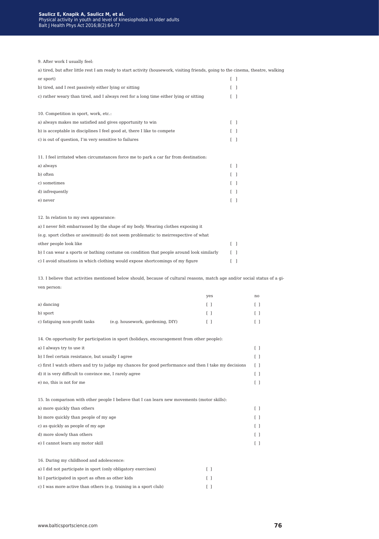9. After work I usually feel:

| 9. Arter work I usually feel:                                                                                                    |                                         |                                       |                                           |  |
|----------------------------------------------------------------------------------------------------------------------------------|-----------------------------------------|---------------------------------------|-------------------------------------------|--|
| a) tired, but after little rest I am ready to start activity (housework, visiting friends, going to the cinema, theatre, walking |                                         |                                       |                                           |  |
| or sport)                                                                                                                        |                                         | $\begin{bmatrix} 1 & 1 \end{bmatrix}$ |                                           |  |
| b) tired, and I rest passively either lying or sitting                                                                           |                                         | $\begin{bmatrix} 1 \end{bmatrix}$     |                                           |  |
| c) rather weary than tired, and I always rest for a long time either lying or sitting                                            |                                         | $\begin{bmatrix} 1 \end{bmatrix}$     |                                           |  |
| 10. Competition in sport, work, etc.:                                                                                            |                                         |                                       |                                           |  |
| a) always makes me satisfied and gives opportunity to win                                                                        |                                         | $\begin{bmatrix} 1 \end{bmatrix}$     |                                           |  |
| b) is acceptable in disciplines I feel good at, there I like to compete                                                          |                                         | $\begin{bmatrix} 1 \end{bmatrix}$     |                                           |  |
| c) is out of question, I'm very sensitive to failures                                                                            |                                         | $\begin{bmatrix} 1 \end{bmatrix}$     |                                           |  |
| 11. I feel irritated when circumstances force me to park a car far from destination:                                             |                                         |                                       |                                           |  |
| a) always                                                                                                                        |                                         | $\begin{bmatrix} 1 \end{bmatrix}$     |                                           |  |
| b) often                                                                                                                         |                                         | $\begin{bmatrix} 1 \end{bmatrix}$     |                                           |  |
| c) sometimes                                                                                                                     |                                         | $\begin{bmatrix} 1 \end{bmatrix}$     |                                           |  |
| d) infrequently                                                                                                                  |                                         | $\begin{bmatrix} 1 \end{bmatrix}$     |                                           |  |
| e) never                                                                                                                         |                                         | $\begin{bmatrix} 1 \end{bmatrix}$     |                                           |  |
| 12. In relation to my own appearance:                                                                                            |                                         |                                       |                                           |  |
| a) I never felt embarrassed by the shape of my body. Wearing clothes exposing it                                                 |                                         |                                       |                                           |  |
| (e.g. sport clothes or aswimsuit) do not seem problematic to meirrespective of what                                              |                                         |                                       |                                           |  |
| other people look like                                                                                                           |                                         | $\begin{bmatrix} 1 \end{bmatrix}$     |                                           |  |
| b) I can wear a sports or bathing costume on condition that people around look similarly                                         |                                         | $\begin{bmatrix} 1 \end{bmatrix}$     |                                           |  |
| c) I avoid situations in which clothing would expose shortcomings of my figure                                                   |                                         | $\begin{bmatrix} 1 \end{bmatrix}$     |                                           |  |
| 13. I believe that activities mentioned below should, because of cultural reasons, match age and/or social status of a gi-       |                                         |                                       |                                           |  |
| ven person:                                                                                                                      |                                         |                                       |                                           |  |
|                                                                                                                                  | yes                                     |                                       | no                                        |  |
| a) dancing                                                                                                                       | $\Box$                                  |                                       | ΙJ                                        |  |
| b) sport                                                                                                                         | $\begin{bmatrix} 1 \end{bmatrix}$       |                                       | $\begin{bmatrix} 1 \end{bmatrix}$         |  |
| c) fatiguing non-profit tasks<br>(e.g. housework, gardening, DIY)                                                                | $\begin{smallmatrix} \end{smallmatrix}$ |                                       | $\begin{smallmatrix} \end{smallmatrix}$   |  |
| 14. On opportunity for participation in sport (holidays, encouragement from other people):                                       |                                         |                                       |                                           |  |
| a) I always try to use it                                                                                                        |                                         |                                       | $\begin{bmatrix} 1 \end{bmatrix}$         |  |
| b) I feel certain resistance, but usually I agree                                                                                |                                         |                                       | $\begin{smallmatrix} \end{smallmatrix}$   |  |
| c) first I watch others and try to judge my chances for good performance and then I take my decisions                            |                                         |                                       | ΙI                                        |  |
| d) it is very difficult to convince me, I rarely agree                                                                           |                                         |                                       | ΙI                                        |  |
| e) no, this is not for me                                                                                                        |                                         |                                       | $\begin{smallmatrix} \end{smallmatrix}$   |  |
| 15. In comparison with other people I believe that I can learn new movements (motor skills):                                     |                                         |                                       |                                           |  |
| a) more quickly than others                                                                                                      |                                         |                                       | $\Box$                                    |  |
| b) more quickly than people of my age                                                                                            |                                         |                                       | $\begin{smallmatrix} & \end{smallmatrix}$ |  |
| c) as quickly as people of my age                                                                                                |                                         |                                       | ΙI                                        |  |
| d) more slowly than others                                                                                                       |                                         |                                       | $\begin{smallmatrix} \end{smallmatrix}$   |  |
| e) I cannot learn any motor skill                                                                                                |                                         |                                       | $\begin{smallmatrix} \end{smallmatrix}$   |  |
| 16. During my childhood and adolescence:                                                                                         |                                         |                                       |                                           |  |
| a) I did not participate in sport (only obligatory exercises)                                                                    | $\begin{bmatrix} 1 \end{bmatrix}$       |                                       |                                           |  |
| b) I participated in sport as often as other kids                                                                                | $\begin{smallmatrix} \end{smallmatrix}$ |                                       |                                           |  |
| c) I was more active than others (e.g. training in a sport club)                                                                 | $\begin{bmatrix} 1 \end{bmatrix}$       |                                       |                                           |  |
|                                                                                                                                  |                                         |                                       |                                           |  |